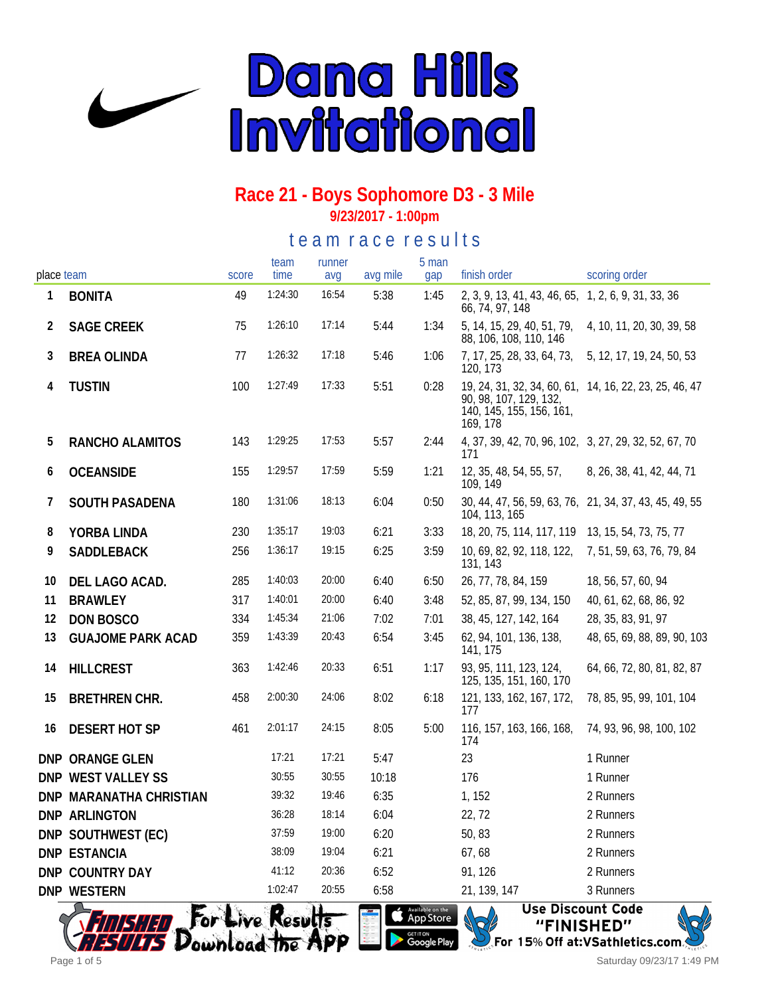

# **Race 21 - Boys Sophomore D3 - 3 Mile**

**9/23/2017 - 1:00pm**

te a m r a c e r e s ults

|            |                          |       | team    | runner |          | 5 man |                                                                                                                          |                             |
|------------|--------------------------|-------|---------|--------|----------|-------|--------------------------------------------------------------------------------------------------------------------------|-----------------------------|
| place team |                          | score | time    | avg    | avg mile | gap   | finish order                                                                                                             | scoring order               |
| 1          | <b>BONITA</b>            | 49    | 1:24:30 | 16:54  | 5:38     | 1:45  | 2, 3, 9, 13, 41, 43, 46, 65, 1, 2, 6, 9, 31, 33, 36<br>66, 74, 97, 148                                                   |                             |
| 2          | <b>SAGE CREEK</b>        | 75    | 1:26:10 | 17:14  | 5:44     | 1:34  | 5, 14, 15, 29, 40, 51, 79,<br>88, 106, 108, 110, 146                                                                     | 4, 10, 11, 20, 30, 39, 58   |
| 3          | <b>BREA OLINDA</b>       | 77    | 1:26:32 | 17:18  | 5:46     | 1:06  | 7, 17, 25, 28, 33, 64, 73,<br>120, 173                                                                                   | 5, 12, 17, 19, 24, 50, 53   |
| 4          | <b>TUSTIN</b>            | 100   | 1:27:49 | 17:33  | 5:51     | 0:28  | 19, 24, 31, 32, 34, 60, 61, 14, 16, 22, 23, 25, 46, 47<br>90, 98, 107, 129, 132,<br>140, 145, 155, 156, 161,<br>169, 178 |                             |
| 5          | RANCHO ALAMITOS          | 143   | 1:29:25 | 17:53  | 5:57     | 2:44  | 4, 37, 39, 42, 70, 96, 102, 3, 27, 29, 32, 52, 67, 70<br>171                                                             |                             |
| 6          | <b>OCEANSIDE</b>         | 155   | 1:29:57 | 17:59  | 5:59     | 1:21  | 12, 35, 48, 54, 55, 57,<br>109, 149                                                                                      | 8, 26, 38, 41, 42, 44, 71   |
| 7          | SOUTH PASADENA           | 180   | 1:31:06 | 18:13  | 6:04     | 0:50  | 30, 44, 47, 56, 59, 63, 76, 21, 34, 37, 43, 45, 49, 55<br>104, 113, 165                                                  |                             |
| 8          | YORBA LINDA              | 230   | 1:35:17 | 19:03  | 6:21     | 3:33  | 18, 20, 75, 114, 117, 119                                                                                                | 13, 15, 54, 73, 75, 77      |
| 9          | SADDLEBACK               | 256   | 1:36:17 | 19:15  | 6:25     | 3:59  | 10, 69, 82, 92, 118, 122,<br>131, 143                                                                                    | 7, 51, 59, 63, 76, 79, 84   |
| 10         | DEL LAGO ACAD.           | 285   | 1:40:03 | 20:00  | 6:40     | 6:50  | 26, 77, 78, 84, 159                                                                                                      | 18, 56, 57, 60, 94          |
| 11         | <b>BRAWLEY</b>           | 317   | 1:40:01 | 20:00  | 6:40     | 3:48  | 52, 85, 87, 99, 134, 150                                                                                                 | 40, 61, 62, 68, 86, 92      |
| 12         | DON BOSCO                | 334   | 1:45:34 | 21:06  | 7:02     | 7:01  | 38, 45, 127, 142, 164                                                                                                    | 28, 35, 83, 91, 97          |
| 13         | <b>GUAJOME PARK ACAD</b> | 359   | 1:43:39 | 20:43  | 6:54     | 3:45  | 62, 94, 101, 136, 138,<br>141, 175                                                                                       | 48, 65, 69, 88, 89, 90, 103 |
| 14         | <b>HILLCREST</b>         | 363   | 1:42:46 | 20:33  | 6:51     | 1:17  | 93, 95, 111, 123, 124,<br>125, 135, 151, 160, 170                                                                        | 64, 66, 72, 80, 81, 82, 87  |
| 15         | <b>BRETHREN CHR.</b>     | 458   | 2:00:30 | 24:06  | 8:02     | 6:18  | 121, 133, 162, 167, 172,<br>177                                                                                          | 78, 85, 95, 99, 101, 104    |
| 16         | <b>DESERT HOT SP</b>     | 461   | 2:01:17 | 24:15  | 8:05     | 5:00  | 116, 157, 163, 166, 168,<br>174                                                                                          | 74, 93, 96, 98, 100, 102    |
|            | DNP ORANGE GLEN          |       | 17:21   | 17:21  | 5:47     |       | 23                                                                                                                       | 1 Runner                    |
|            | DNP WEST VALLEY SS       |       | 30:55   | 30:55  | 10:18    |       | 176                                                                                                                      | 1 Runner                    |
|            | DNP MARANATHA CHRISTIAN  |       | 39:32   | 19:46  | 6:35     |       | 1, 152                                                                                                                   | 2 Runners                   |
|            | DNP ARLINGTON            |       | 36:28   | 18:14  | 6:04     |       | 22, 72                                                                                                                   | 2 Runners                   |
|            | DNP SOUTHWEST (EC)       |       | 37:59   | 19:00  | 6:20     |       | 50, 83                                                                                                                   | 2 Runners                   |
|            | <b>DNP ESTANCIA</b>      |       | 38:09   | 19:04  | 6:21     |       | 67,68                                                                                                                    | 2 Runners                   |
|            | DNP COUNTRY DAY          |       | 41:12   | 20:36  | 6:52     |       | 91, 126                                                                                                                  | 2 Runners                   |
|            | <b>DNP WESTERN</b>       |       | 1:02:47 | 20:55  | 6:58     |       | 21, 139, 147                                                                                                             | 3 Runners                   |
|            | $\bigcap$                | 人体    |         | 28 A   |          |       | $\overline{a}$                                                                                                           | <b>Llea Diceaunt Cada</b>   |



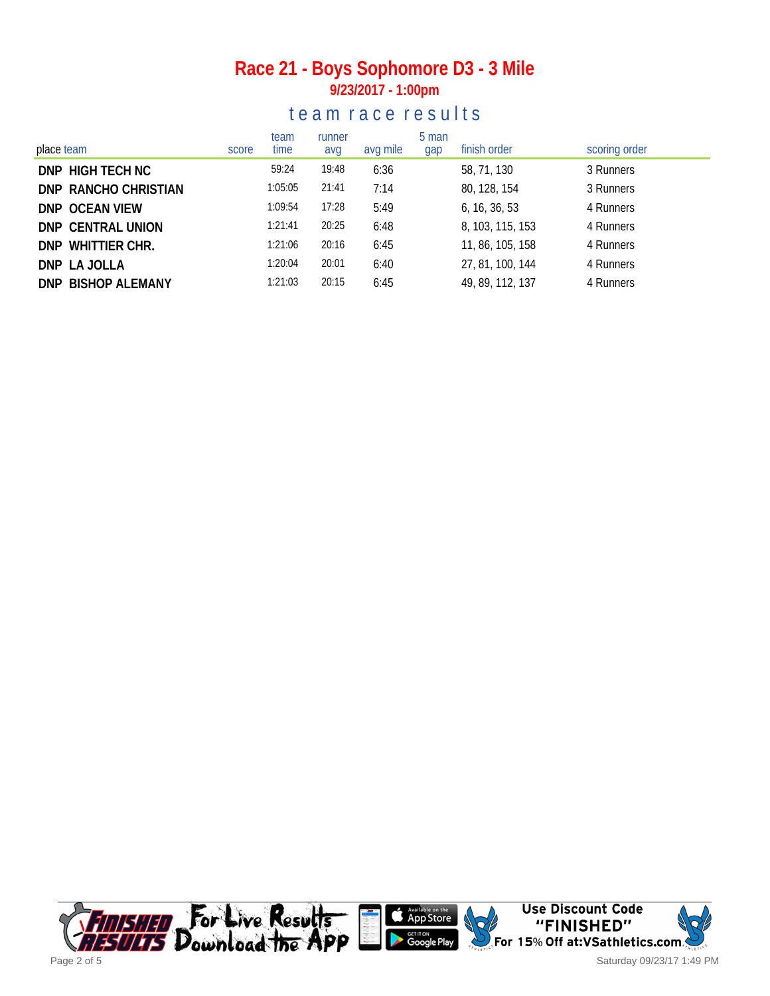#### **Race 21 - Boys Sophomore D3 - 3 Mile 9/23/2017 - 1:00pm**

#### te a m r a c e r e s ults

| place team           | score | team<br>time | runner<br>avg | avg mile | 5 man<br>gap | finish order     | scoring order |
|----------------------|-------|--------------|---------------|----------|--------------|------------------|---------------|
| DNP HIGH TECH NC     |       | 59:24        | 19:48         | 6:36     |              | 58, 71, 130      | 3 Runners     |
| DNP RANCHO CHRISTIAN |       | 1:05:05      | 21:41         | 7:14     |              | 80, 128, 154     | 3 Runners     |
| DNP OCEAN VIEW       |       | 1:09:54      | 17:28         | 5:49     |              | 6, 16, 36, 53    | 4 Runners     |
| DNP CENTRAL UNION    |       | 1:21:41      | 20:25         | 6:48     |              | 8, 103, 115, 153 | 4 Runners     |
| DNP WHITTIER CHR.    |       | 1:21:06      | 20:16         | 6:45     |              | 11, 86, 105, 158 | 4 Runners     |
| DNP LA JOLLA         |       | 1:20:04      | 20:01         | 6:40     |              | 27, 81, 100, 144 | 4 Runners     |
| DNP BISHOP ALEMANY   |       | 1:21:03      | 20:15         | 6:45     |              | 49, 89, 112, 137 | 4 Runners     |

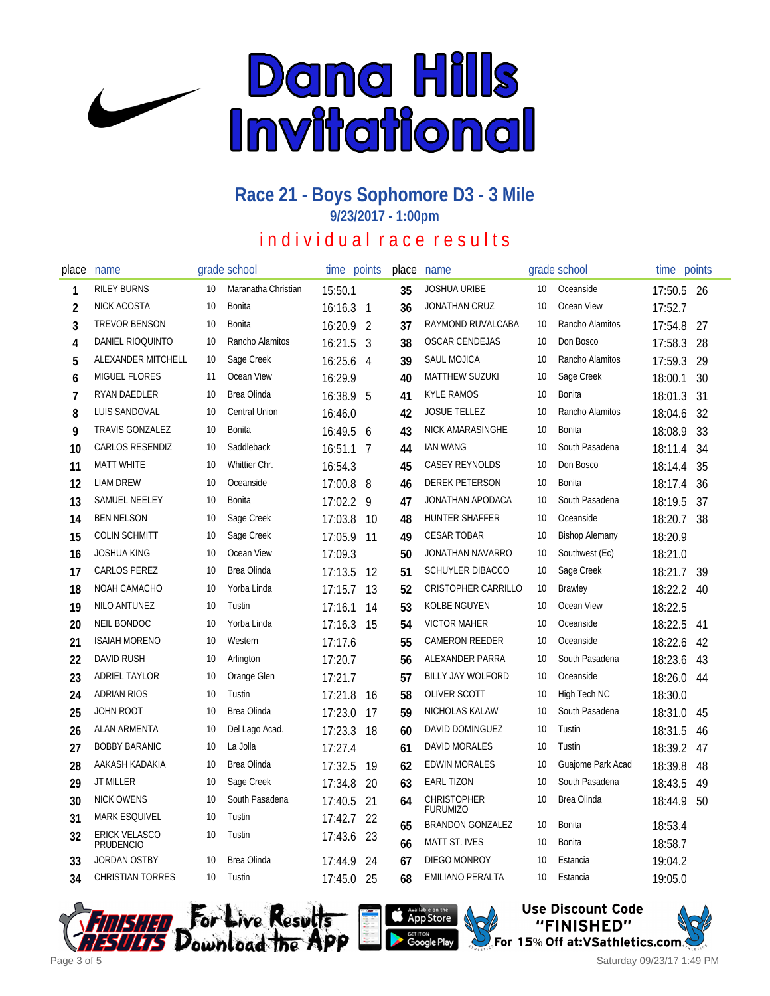

# **Race 21 - Boys Sophomore D3 - 3 Mile**

**9/23/2017 - 1:00pm**

# in dividual race results

| place          | name                                    |    | grade school        | time      | points         | place | name                                       |    | grade school          | time       | points |
|----------------|-----------------------------------------|----|---------------------|-----------|----------------|-------|--------------------------------------------|----|-----------------------|------------|--------|
| 1              | <b>RILEY BURNS</b>                      | 10 | Maranatha Christian | 15:50.1   |                | 35    | <b>JOSHUA URIBE</b>                        | 10 | Oceanside             | 17:50.5 26 |        |
| $\overline{2}$ | <b>NICK ACOSTA</b>                      | 10 | Bonita              | 16:16.3   | $\mathbf{1}$   | 36    | JONATHAN CRUZ                              | 10 | Ocean View            | 17:52.7    |        |
| 3              | TREVOR BENSON                           | 10 | Bonita              | 16:20.9   | $\overline{2}$ | 37    | RAYMOND RUVALCABA                          | 10 | Rancho Alamitos       | 17:54.8    | 27     |
| 4              | DANIEL RIOQUINTO                        | 10 | Rancho Alamitos     | 16:21.5   | 3              | 38    | <b>OSCAR CENDEJAS</b>                      | 10 | Don Bosco             | 17:58.3    | 28     |
| 5              | ALEXANDER MITCHELL                      | 10 | Sage Creek          | 16:25.6   | $\overline{4}$ | 39    | SAUL MOJICA                                | 10 | Rancho Alamitos       | 17:59.3    | 29     |
| 6              | <b>MIGUEL FLORES</b>                    | 11 | Ocean View          | 16:29.9   |                | 40    | <b>MATTHEW SUZUKI</b>                      | 10 | Sage Creek            | 18:00.1    | 30     |
| 7              | RYAN DAEDLER                            | 10 | Brea Olinda         | 16:38.9   | 5              | 41    | <b>KYLE RAMOS</b>                          | 10 | <b>Bonita</b>         | 18:01.3    | 31     |
| 8              | LUIS SANDOVAL                           | 10 | Central Union       | 16:46.0   |                | 42    | <b>JOSUE TELLEZ</b>                        | 10 | Rancho Alamitos       | 18:04.6    | 32     |
| 9              | TRAVIS GONZALEZ                         | 10 | Bonita              | 16:49.5 6 |                | 43    | NICK AMARASINGHE                           | 10 | Bonita                | 18:08.9    | 33     |
| 10             | <b>CARLOS RESENDIZ</b>                  | 10 | Saddleback          | 16:51.1   | -7             | 44    | <b>IAN WANG</b>                            | 10 | South Pasadena        | 18:11.4    | 34     |
| 11             | <b>MATT WHITE</b>                       | 10 | Whittier Chr.       | 16:54.3   |                | 45    | <b>CASEY REYNOLDS</b>                      | 10 | Don Bosco             | 18:14.4    | 35     |
| 12             | <b>LIAM DREW</b>                        | 10 | Oceanside           | 17:00.8   | 8              | 46    | <b>DEREK PETERSON</b>                      | 10 | Bonita                | 18:17.4    | 36     |
| 13             | SAMUEL NEELEY                           | 10 | Bonita              | 17:02.2   | 9              | 47    | JONATHAN APODACA                           | 10 | South Pasadena        | 18:19.5    | 37     |
| 14             | <b>BEN NELSON</b>                       | 10 | Sage Creek          | 17:03.8   | 10             | 48    | HUNTER SHAFFER                             | 10 | Oceanside             | 18:20.7    | 38     |
| 15             | <b>COLIN SCHMITT</b>                    | 10 | Sage Creek          | 17:05.9   | 11             | 49    | <b>CESAR TOBAR</b>                         | 10 | <b>Bishop Alemany</b> | 18:20.9    |        |
| 16             | <b>JOSHUA KING</b>                      | 10 | Ocean View          | 17:09.3   |                | 50    | JONATHAN NAVARRO                           | 10 | Southwest (Ec)        | 18:21.0    |        |
| 17             | CARLOS PEREZ                            | 10 | Brea Olinda         | 17:13.5   | 12             | 51    | <b>SCHUYLER DIBACCO</b>                    | 10 | Sage Creek            | 18:21.7    | 39     |
| 18             | NOAH CAMACHO                            | 10 | Yorba Linda         | 17:15.7   | 13             | 52    | <b>CRISTOPHER CARRILLO</b>                 | 10 | <b>Brawley</b>        | 18:22.2    | 40     |
| 19             | NILO ANTUNEZ                            | 10 | Tustin              | 17:16.1   | 14             | 53    | KOLBE NGUYEN                               | 10 | Ocean View            | 18:22.5    |        |
| 20             | NEIL BONDOC                             | 10 | Yorba Linda         | 17:16.3   | 15             | 54    | <b>VICTOR MAHER</b>                        | 10 | Oceanside             | 18:22.5    | 41     |
| 21             | <b>ISAIAH MORENO</b>                    | 10 | Western             | 17:17.6   |                | 55    | <b>CAMERON REEDER</b>                      | 10 | Oceanside             | 18:22.6    | 42     |
| 22             | <b>DAVID RUSH</b>                       | 10 | Arlington           | 17:20.7   |                | 56    | ALEXANDER PARRA                            | 10 | South Pasadena        | 18:23.6    | 43     |
| 23             | ADRIEL TAYLOR                           | 10 | Orange Glen         | 17:21.7   |                | 57    | BILLY JAY WOLFORD                          | 10 | Oceanside             | 18:26.0    | 44     |
| 24             | <b>ADRIAN RIOS</b>                      | 10 | Tustin              | 17:21.8   | 16             | 58    | <b>OLIVER SCOTT</b>                        | 10 | High Tech NC          | 18:30.0    |        |
| 25             | <b>JOHN ROOT</b>                        | 10 | Brea Olinda         | 17:23.0   | 17             | 59    | NICHOLAS KALAW                             | 10 | South Pasadena        | 18:31.0    | 45     |
| 26             | <b>ALAN ARMENTA</b>                     | 10 | Del Lago Acad.      | 17:23.3   | 18             | 60    | DAVID DOMINGUEZ                            | 10 | Tustin                | 18:31.5    | 46     |
| 27             | <b>BOBBY BARANIC</b>                    | 10 | La Jolla            | 17:27.4   |                | 61    | DAVID MORALES                              | 10 | Tustin                | 18:39.2    | 47     |
| 28             | AAKASH KADAKIA                          | 10 | Brea Olinda         | 17:32.5   | 19             | 62    | <b>EDWIN MORALES</b>                       | 10 | Guajome Park Acad     | 18:39.8    | 48     |
| 29             | <b>JT MILLER</b>                        | 10 | Sage Creek          | 17:34.8   | 20             | 63    | <b>EARL TIZON</b>                          | 10 | South Pasadena        | 18:43.5    | 49     |
| 30             | <b>NICK OWENS</b>                       | 10 | South Pasadena      | 17:40.5   | 21             | 64    | <b>CHRISTOPHER</b>                         | 10 | Brea Olinda           | 18:44.9    | 50     |
| 31             | <b>MARK ESQUIVEL</b>                    | 10 | Tustin              | 17:42.7   | 22             | 65    | <b>FURUMIZO</b><br><b>BRANDON GONZALEZ</b> | 10 | <b>Bonita</b>         | 18:53.4    |        |
| 32             | <b>ERICK VELASCO</b>                    | 10 | Tustin              | 17:43.6   | 23             | 66    | <b>MATT ST. IVES</b>                       | 10 | <b>Bonita</b>         | 18:58.7    |        |
| 33             | <b>PRUDENCIO</b><br><b>JORDAN OSTBY</b> | 10 | Brea Olinda         | 17:44.9   | 24             | 67    | DIEGO MONROY                               | 10 | Estancia              | 19:04.2    |        |
| 34             | <b>CHRISTIAN TORRES</b>                 | 10 | Tustin              | 17:45.0   | 25             | 68    | <b>EMILIANO PERALTA</b>                    | 10 | Estancia              | 19:05.0    |        |







Saturday 09/23/17 1:49 PM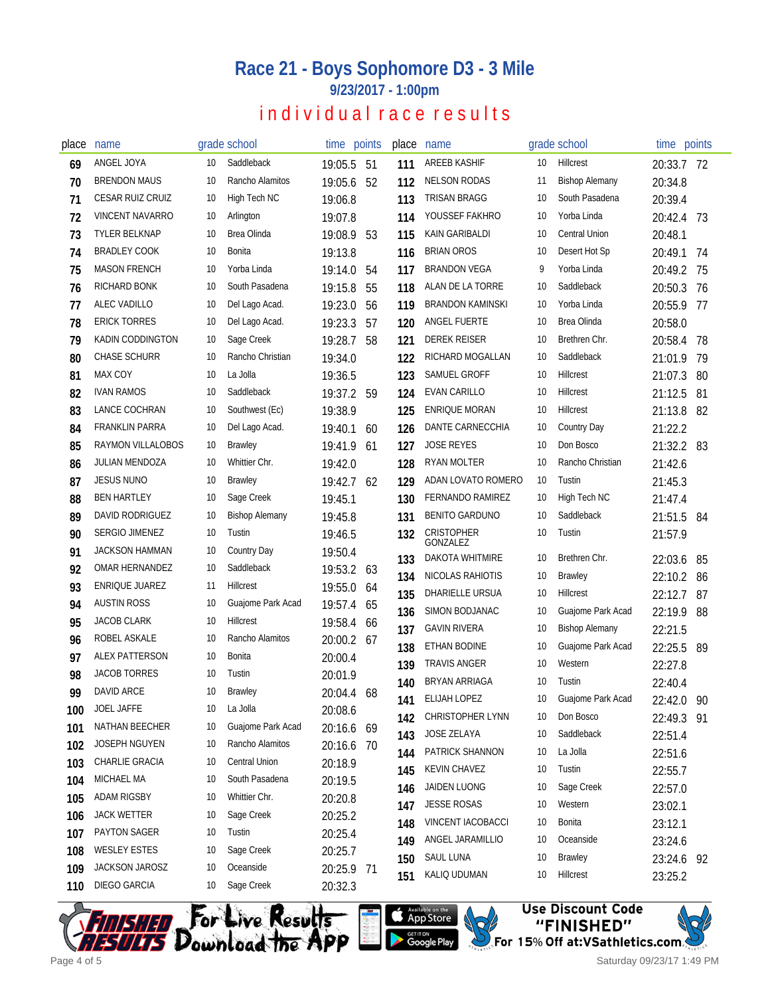# **Race 21 - Boys Sophomore D3 - 3 Mile**

**9/23/2017 - 1:00pm**

#### individual race results

| place | name                     |    | grade school          | time points |     | place | name                          |    | grade school          | time points           |     |
|-------|--------------------------|----|-----------------------|-------------|-----|-------|-------------------------------|----|-----------------------|-----------------------|-----|
| 69    | ANGEL JOYA               | 10 | Saddleback            | 19:05.5     | -51 | 111   | <b>AREEB KASHIF</b>           | 10 | Hillcrest             | 20:33.7 72            |     |
| 70    | <b>BRENDON MAUS</b>      | 10 | Rancho Alamitos       | 19:05.6     | 52  | 112   | <b>NELSON RODAS</b>           | 11 | <b>Bishop Alemany</b> | 20:34.8               |     |
| 71    | <b>CESAR RUIZ CRUIZ</b>  | 10 | High Tech NC          | 19:06.8     |     | 113   | <b>TRISAN BRAGG</b>           | 10 | South Pasadena        | 20:39.4               |     |
| 72    | <b>VINCENT NAVARRO</b>   | 10 | Arlington             | 19:07.8     |     | 114   | YOUSSEF FAKHRO                | 10 | Yorba Linda           | 20:42.4               | -73 |
| 73    | <b>TYLER BELKNAP</b>     | 10 | Brea Olinda           | 19:08.9     | 53  | 115   | KAIN GARIBALDI                | 10 | <b>Central Union</b>  | 20:48.1               |     |
| 74    | <b>BRADLEY COOK</b>      | 10 | Bonita                | 19:13.8     |     | 116   | <b>BRIAN OROS</b>             | 10 | Desert Hot Sp         | 20:49.1               | 74  |
| 75    | <b>MASON FRENCH</b>      | 10 | Yorba Linda           | 19:14.0     | 54  | 117   | BRANDON VEGA                  | 9  | Yorba Linda           | 20:49.2               | 75  |
| 76    | RICHARD BONK             | 10 | South Pasadena        | 19:15.8     | 55  | 118   | ALAN DE LA TORRE              | 10 | Saddleback            | 20:50.3               | 76  |
| 77    | ALEC VADILLO             | 10 | Del Lago Acad.        | 19:23.0     | 56  | 119   | <b>BRANDON KAMINSKI</b>       | 10 | Yorba Linda           | 20:55.9               | 77  |
| 78    | <b>ERICK TORRES</b>      | 10 | Del Lago Acad.        | 19:23.3     | 57  | 120   | ANGEL FUERTE                  | 10 | Brea Olinda           | 20:58.0               |     |
| 79    | KADIN CODDINGTON         | 10 | Sage Creek            | 19:28.7     | 58  | 121   | <b>DEREK REISER</b>           | 10 | Brethren Chr.         | 20:58.4               | 78  |
| 80    | <b>CHASE SCHURR</b>      | 10 | Rancho Christian      | 19:34.0     |     | 122   | RICHARD MOGALLAN              | 10 | Saddleback            | 21:01.9               | 79  |
| 81    | MAX COY                  | 10 | La Jolla              | 19:36.5     |     | 123   | SAMUEL GROFF                  | 10 | Hillcrest             | 21:07.3               | 80  |
| 82    | <b>IVAN RAMOS</b>        | 10 | Saddleback            | 19:37.2     | 59  | 124   | <b>EVAN CARILLO</b>           | 10 | Hillcrest             | 21:12.5               | 81  |
| 83    | LANCE COCHRAN            | 10 | Southwest (Ec)        | 19:38.9     |     | 125   | <b>ENRIQUE MORAN</b>          | 10 | <b>Hillcrest</b>      | 21:13.8               | 82  |
| 84    | <b>FRANKLIN PARRA</b>    | 10 | Del Lago Acad.        | 19:40.1     | 60  | 126   | DANTE CARNECCHIA              | 10 | Country Day           | 21:22.2               |     |
| 85    | <b>RAYMON VILLALOBOS</b> | 10 | <b>Brawley</b>        | 19:41.9     | 61  | 127   | <b>JOSE REYES</b>             | 10 | Don Bosco             | 21:32.2 83            |     |
| 86    | <b>JULIAN MENDOZA</b>    | 10 | Whittier Chr.         | 19:42.0     |     | 128   | <b>RYAN MOLTER</b>            | 10 | Rancho Christian      | 21:42.6               |     |
| 87    | <b>JESUS NUNO</b>        | 10 | Brawley               | 19:42.7 62  |     | 129   | ADAN LOVATO ROMERO            | 10 | Tustin                | 21:45.3               |     |
| 88    | <b>BEN HARTLEY</b>       | 10 | Sage Creek            | 19:45.1     |     | 130   | FERNANDO RAMIREZ              | 10 | High Tech NC          | 21:47.4               |     |
| 89    | DAVID RODRIGUEZ          | 10 | <b>Bishop Alemany</b> | 19:45.8     |     | 131   | <b>BENITO GARDUNO</b>         | 10 | Saddleback            | 21:51.5               | 84  |
| 90    | SERGIO JIMENEZ           | 10 | Tustin                | 19:46.5     |     | 132   | <b>CRISTOPHER</b><br>GONZALEZ | 10 | Tustin                | 21:57.9               |     |
| 91    | <b>JACKSON HAMMAN</b>    | 10 | Country Day           | 19:50.4     |     | 133   | DAKOTA WHITMIRE               | 10 | Brethren Chr.         | 22:03.6               | 85  |
| 92    | OMAR HERNANDEZ           | 10 | Saddleback            | 19:53.2 63  |     | 134   | NICOLAS RAHIOTIS              | 10 | <b>Brawley</b>        | 22:10.2               | 86  |
| 93    | ENRIQUE JUAREZ           | 11 | Hillcrest             | 19:55.0     | 64  | 135   | DHARIELLE URSUA               | 10 | Hillcrest             | 22:12.7               | 87  |
| 94    | <b>AUSTIN ROSS</b>       | 10 | Guajome Park Acad     | 19:57.4     | 65  | 136   | SIMON BODJANAC                | 10 | Guajome Park Acad     | 22:19.9               | 88  |
| 95    | <b>JACOB CLARK</b>       | 10 | Hillcrest             | 19:58.4     | 66  | 137   | <b>GAVIN RIVERA</b>           | 10 | <b>Bishop Alemany</b> | 22:21.5               |     |
| 96    | ROBEL ASKALE             | 10 | Rancho Alamitos       | 20:00.2 67  |     | 138   | ETHAN BODINE                  | 10 | Guajome Park Acad     | 22:25.5               | 89  |
| 97    | ALEX PATTERSON           | 10 | Bonita                | 20:00.4     |     | 139   | <b>TRAVIS ANGER</b>           | 10 | Western               | 22:27.8               |     |
| 98    | <b>JACOB TORRES</b>      | 10 | Tustin                | 20:01.9     |     | 140   | <b>BRYAN ARRIAGA</b>          | 10 | Tustin                | 22:40.4               |     |
| 99    | DAVID ARCE               | 10 | Brawley               | 20:04.4     | 68  | 141   | ELIJAH LOPEZ                  | 10 | Guajome Park Acad     | 22:42.0 90            |     |
| 100   | JOEL JAFFE               | 10 | La Jolla              | 20:08.6     |     | 142   | <b>CHRISTOPHER LYNN</b>       | 10 | Don Bosco             | 22:49.3 91            |     |
| 101   | NATHAN BEECHER           | 10 | Guajome Park Acad     | 20:16.6 69  |     | 143   | <b>JOSE ZELAYA</b>            | 10 | Saddleback            | 22:51.4               |     |
| 102   | JOSEPH NGUYEN            | 10 | Rancho Alamitos       | 20:16.6 70  |     | 144   | PATRICK SHANNON               | 10 | La Jolla              | 22:51.6               |     |
| 103   | CHARLIE GRACIA           | 10 | Central Union         | 20:18.9     |     | 145   | <b>KEVIN CHAVEZ</b>           | 10 | Tustin                | 22:55.7               |     |
| 104   | MICHAEL MA               | 10 | South Pasadena        | 20:19.5     |     | 146   | JAIDEN LUONG                  | 10 | Sage Creek            | 22:57.0               |     |
| 105   | <b>ADAM RIGSBY</b>       | 10 | Whittier Chr.         | 20:20.8     |     | 147   | <b>JESSE ROSAS</b>            | 10 | Western               | 23:02.1               |     |
| 106   | <b>JACK WETTER</b>       | 10 | Sage Creek            | 20:25.2     |     | 148   | <b>VINCENT IACOBACCI</b>      | 10 | Bonita                |                       |     |
| 107   | PAYTON SAGER             | 10 | Tustin                | 20:25.4     |     | 149   | ANGEL JARAMILLIO              | 10 | Oceanside             | 23:12.1<br>23:24.6    |     |
| 108   | <b>WESLEY ESTES</b>      | 10 | Sage Creek            | 20:25.7     |     | 150   | SAUL LUNA                     | 10 | Brawley               |                       |     |
| 109   | JACKSON JAROSZ           | 10 | Oceanside             | 20:25.9 71  |     | 151   | KALIQ UDUMAN                  | 10 | Hillcrest             | 23:24.6 92<br>23:25.2 |     |
| 110   | DIEGO GARCIA             | 10 | Sage Creek            | 20:32.3     |     |       |                               |    |                       |                       |     |